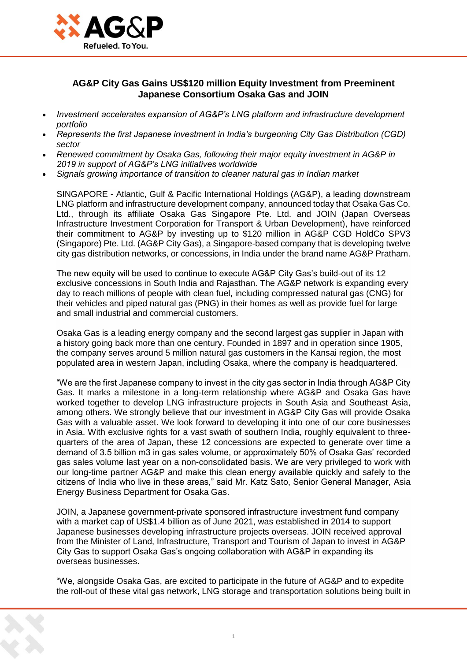

## **AG&P City Gas Gains US\$120 million Equity Investment from Preeminent Japanese Consortium Osaka Gas and JOIN**

- *Investment accelerates expansion of AG&P's LNG platform and infrastructure development portfolio*
- *Represents the first Japanese investment in India's burgeoning City Gas Distribution (CGD) sector*
- *Renewed commitment by Osaka Gas, following their major equity investment in AG&P in 2019 in support of AG&P's LNG initiatives worldwide*
- *Signals growing importance of transition to cleaner natural gas in Indian market*

SINGAPORE - Atlantic, Gulf & Pacific International Holdings (AG&P), a leading downstream LNG platform and infrastructure development company, announced today that Osaka Gas Co. Ltd., through its affiliate Osaka Gas Singapore Pte. Ltd. and JOIN (Japan Overseas Infrastructure Investment Corporation for Transport & Urban Development), have reinforced their commitment to AG&P by investing up to \$120 million in AG&P CGD HoldCo SPV3 (Singapore) Pte. Ltd. (AG&P City Gas), a Singapore-based company that is developing twelve city gas distribution networks, or concessions, in India under the brand name AG&P Pratham.

The new equity will be used to continue to execute AG&P City Gas's build-out of its 12 exclusive concessions in South India and Rajasthan. The AG&P network is expanding every day to reach millions of people with clean fuel, including compressed natural gas (CNG) for their vehicles and piped natural gas (PNG) in their homes as well as provide fuel for large and small industrial and commercial customers.

Osaka Gas is a leading energy company and the second largest gas supplier in Japan with a history going back more than one century. Founded in 1897 and in operation since 1905, the company serves around 5 million natural gas customers in the Kansai region, the most populated area in western Japan, including Osaka, where the company is headquartered.

"We are the first Japanese company to invest in the city gas sector in India through AG&P City Gas. It marks a milestone in a long-term relationship where AG&P and Osaka Gas have worked together to develop LNG infrastructure projects in South Asia and Southeast Asia, among others. We strongly believe that our investment in AG&P City Gas will provide Osaka Gas with a valuable asset. We look forward to developing it into one of our core businesses in Asia. With exclusive rights for a vast swath of southern India, roughly equivalent to threequarters of the area of Japan, these 12 concessions are expected to generate over time a demand of 3.5 billion m3 in gas sales volume, or approximately 50% of Osaka Gas' recorded gas sales volume last year on a non-consolidated basis. We are very privileged to work with our long-time partner AG&P and make this clean energy available quickly and safely to the citizens of India who live in these areas," said Mr. Katz Sato, Senior General Manager, Asia Energy Business Department for Osaka Gas.

JOIN, a Japanese government-private sponsored infrastructure investment fund company with a market cap of US\$1.4 billion as of June 2021, was established in 2014 to support Japanese businesses developing infrastructure projects overseas. JOIN received approval from the Minister of Land, Infrastructure, Transport and Tourism of Japan to invest in AG&P City Gas to support Osaka Gas's ongoing collaboration with AG&P in expanding its overseas businesses.

"We, alongside Osaka Gas, are excited to participate in the future of AG&P and to expedite the roll-out of these vital gas network, LNG storage and transportation solutions being built in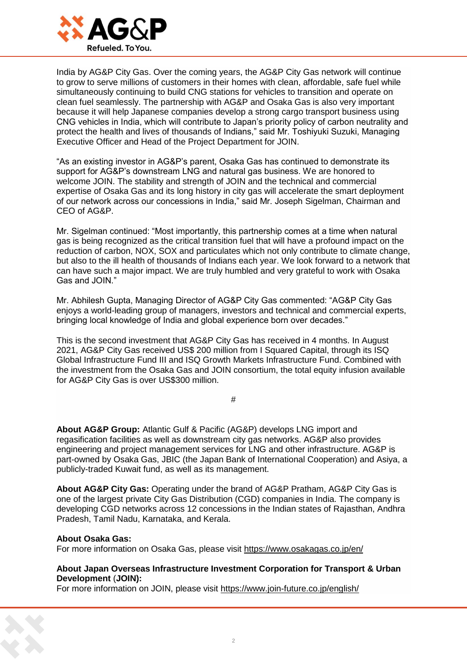

India by AG&P City Gas. Over the coming years, the AG&P City Gas network will continue to grow to serve millions of customers in their homes with clean, affordable, safe fuel while simultaneously continuing to build CNG stations for vehicles to transition and operate on clean fuel seamlessly. The partnership with AG&P and Osaka Gas is also very important because it will help Japanese companies develop a strong cargo transport business using CNG vehicles in India, which will contribute to Japan's priority policy of carbon neutrality and protect the health and lives of thousands of Indians," said Mr. Toshiyuki Suzuki, Managing Executive Officer and Head of the Project Department for JOIN.

"As an existing investor in AG&P's parent, Osaka Gas has continued to demonstrate its support for AG&P's downstream LNG and natural gas business. We are honored to welcome JOIN. The stability and strength of JOIN and the technical and commercial expertise of Osaka Gas and its long history in city gas will accelerate the smart deployment of our network across our concessions in India," said Mr. Joseph Sigelman, Chairman and CEO of AG&P.

Mr. Sigelman continued: "Most importantly, this partnership comes at a time when natural gas is being recognized as the critical transition fuel that will have a profound impact on the reduction of carbon, NOX, SOX and particulates which not only contribute to climate change, but also to the ill health of thousands of Indians each year. We look forward to a network that can have such a major impact. We are truly humbled and very grateful to work with Osaka Gas and JOIN."

Mr. Abhilesh Gupta, Managing Director of AG&P City Gas commented: "AG&P City Gas enjoys a world-leading group of managers, investors and technical and commercial experts, bringing local knowledge of India and global experience born over decades."

This is the second investment that AG&P City Gas has received in 4 months. In August 2021, AG&P City Gas received US\$ 200 million from I Squared Capital, through its ISQ Global Infrastructure Fund III and ISQ Growth Markets Infrastructure Fund. Combined with the investment from the Osaka Gas and JOIN consortium, the total equity infusion available for AG&P City Gas is over US\$300 million.

**#**

**About AG&P Group:** Atlantic Gulf & Pacific (AG&P) develops LNG import and regasification facilities as well as downstream city gas networks. AG&P also provides engineering and project management services for LNG and other infrastructure. AG&P is part-owned by Osaka Gas, JBIC (the Japan Bank of International Cooperation) and Asiya, a publicly-traded Kuwait fund, as well as its management.

**About AG&P City Gas:** Operating under the brand of AG&P Pratham, AG&P City Gas is one of the largest private City Gas Distribution (CGD) companies in India. The company is developing CGD networks across 12 concessions in the Indian states of Rajasthan, Andhra Pradesh, Tamil Nadu, Karnataka, and Kerala.

### **About Osaka Gas:**

For more information on Osaka Gas, please visit [https://www.osakagas.co.jp/en/](https://cts.businesswire.com/ct/CT?id=smartlink&url=https%3A%2F%2Fwww.osakagas.co.jp%2Fen%2F&esheet=52553317&newsitemid=20211219005032&lan=en-US&anchor=https%3A%2F%2Fwww.osakagas.co.jp%2Fen%2F&index=1&md5=ac06aa3f39e233cc56eb2ddc1ca69d7b)

#### **About Japan Overseas Infrastructure Investment Corporation for Transport & Urban Development** (**JOIN):**

For more information on JOIN, please visit [https://www.join-future.co.jp/english/](https://cts.businesswire.com/ct/CT?id=smartlink&url=https%3A%2F%2Fwww.join-future.co.jp%2Fenglish%2F&esheet=52553317&newsitemid=20211219005032&lan=en-US&anchor=https%3A%2F%2Fwww.join-future.co.jp%2Fenglish%2F&index=2&md5=81141abf3d038fd5ccfd3d3e67417b0e)